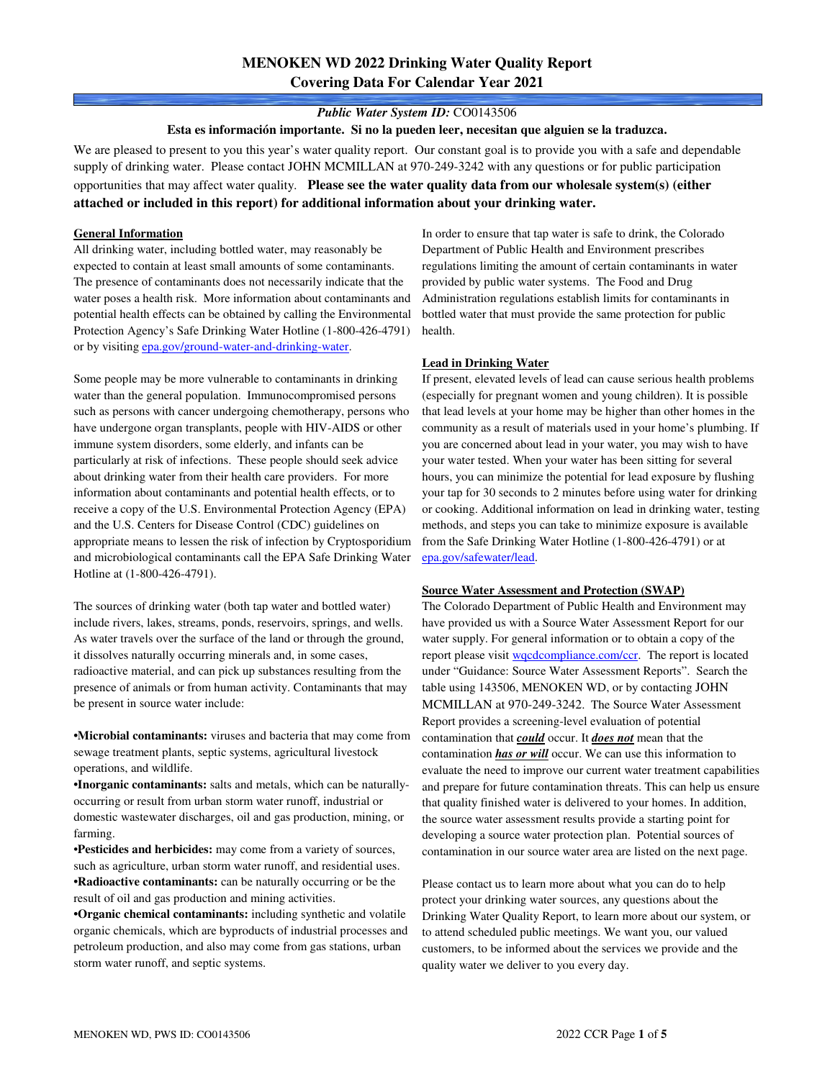## **MENOKEN WD 2022 Drinking Water Quality Report Covering Data For Calendar Year 2021**

#### *Public Water System ID:* CO0143506

**Esta es información importante. Si no la pueden leer, necesitan que alguien se la traduzca.**

We are pleased to present to you this year's water quality report. Our constant goal is to provide you with a safe and dependable supply of drinking water. Please contact JOHN MCMILLAN at 970-249-3242 with any questions or for public participation opportunities that may affect water quality. **Please see the water quality data from our wholesale system(s) (either attached or included in this report) for additional information about your drinking water.**

#### **General Information**

All drinking water, including bottled water, may reasonably be expected to contain at least small amounts of some contaminants. The presence of contaminants does not necessarily indicate that the water poses a health risk. More information about contaminants and potential health effects can be obtained by calling the Environmental Protection Agency's Safe Drinking Water Hotline (1-800-426-4791) or by visiting epa.gov/ground-water-and-drinking-water.

Some people may be more vulnerable to contaminants in drinking water than the general population. Immunocompromised persons such as persons with cancer undergoing chemotherapy, persons who have undergone organ transplants, people with HIV-AIDS or other immune system disorders, some elderly, and infants can be particularly at risk of infections. These people should seek advice about drinking water from their health care providers. For more information about contaminants and potential health effects, or to receive a copy of the U.S. Environmental Protection Agency (EPA) and the U.S. Centers for Disease Control (CDC) guidelines on appropriate means to lessen the risk of infection by Cryptosporidium and microbiological contaminants call the EPA Safe Drinking Water Hotline at (1-800-426-4791).

The sources of drinking water (both tap water and bottled water) include rivers, lakes, streams, ponds, reservoirs, springs, and wells. As water travels over the surface of the land or through the ground, it dissolves naturally occurring minerals and, in some cases, radioactive material, and can pick up substances resulting from the presence of animals or from human activity. Contaminants that may be present in source water include:

**•Microbial contaminants:** viruses and bacteria that may come from sewage treatment plants, septic systems, agricultural livestock operations, and wildlife.

**•Inorganic contaminants:** salts and metals, which can be naturallyoccurring or result from urban storm water runoff, industrial or domestic wastewater discharges, oil and gas production, mining, or farming.

•**Pesticides and herbicides:** may come from a variety of sources, such as agriculture, urban storm water runoff, and residential uses. **•Radioactive contaminants:** can be naturally occurring or be the result of oil and gas production and mining activities.

**•Organic chemical contaminants:** including synthetic and volatile organic chemicals, which are byproducts of industrial processes and petroleum production, and also may come from gas stations, urban storm water runoff, and septic systems.

In order to ensure that tap water is safe to drink, the Colorado Department of Public Health and Environment prescribes regulations limiting the amount of certain contaminants in water provided by public water systems. The Food and Drug Administration regulations establish limits for contaminants in bottled water that must provide the same protection for public health.

#### **Lead in Drinking Water**

If present, elevated levels of lead can cause serious health problems (especially for pregnant women and young children). It is possible that lead levels at your home may be higher than other homes in the community as a result of materials used in your home's plumbing. If you are concerned about lead in your water, you may wish to have your water tested. When your water has been sitting for several hours, you can minimize the potential for lead exposure by flushing your tap for 30 seconds to 2 minutes before using water for drinking or cooking. Additional information on lead in drinking water, testing methods, and steps you can take to minimize exposure is available from the Safe Drinking Water Hotline (1-800-426-4791) or at epa.gov/safewater/lead.

#### **Source Water Assessment and Protection (SWAP)**

The Colorado Department of Public Health and Environment may have provided us with a Source Water Assessment Report for our water supply. For general information or to obtain a copy of the report please visit wqcdcompliance.com/ccr. The report is located under "Guidance: Source Water Assessment Reports". Search the table using 143506, MENOKEN WD, or by contacting JOHN MCMILLAN at 970-249-3242. The Source Water Assessment Report provides a screening-level evaluation of potential contamination that *could* occur. It *does not* mean that the contamination *has or will* occur. We can use this information to evaluate the need to improve our current water treatment capabilities and prepare for future contamination threats. This can help us ensure that quality finished water is delivered to your homes. In addition, the source water assessment results provide a starting point for developing a source water protection plan. Potential sources of contamination in our source water area are listed on the next page.

Please contact us to learn more about what you can do to help protect your drinking water sources, any questions about the Drinking Water Quality Report, to learn more about our system, or to attend scheduled public meetings. We want you, our valued customers, to be informed about the services we provide and the quality water we deliver to you every day.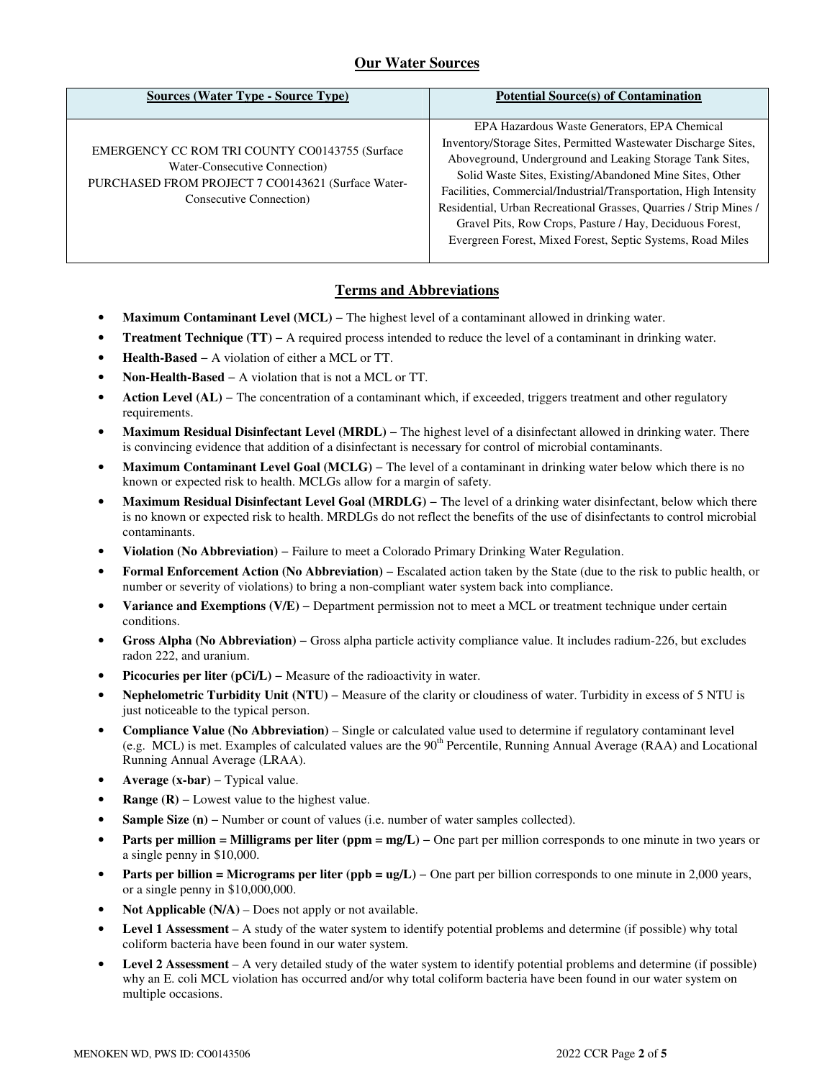## **Our Water Sources**

| <b>Sources (Water Type - Source Type)</b>                                                                                                                        | <b>Potential Source(s) of Contamination</b>                                                                                                                                                                                                                                                                                                                                                                                                                                                              |
|------------------------------------------------------------------------------------------------------------------------------------------------------------------|----------------------------------------------------------------------------------------------------------------------------------------------------------------------------------------------------------------------------------------------------------------------------------------------------------------------------------------------------------------------------------------------------------------------------------------------------------------------------------------------------------|
| EMERGENCY CC ROM TRI COUNTY CO0143755 (Surface<br>Water-Consecutive Connection)<br>PURCHASED FROM PROJECT 7 CO0143621 (Surface Water-<br>Consecutive Connection) | EPA Hazardous Waste Generators, EPA Chemical<br>Inventory/Storage Sites, Permitted Wastewater Discharge Sites,<br>Aboveground, Underground and Leaking Storage Tank Sites,<br>Solid Waste Sites, Existing/Abandoned Mine Sites, Other<br>Facilities, Commercial/Industrial/Transportation, High Intensity<br>Residential, Urban Recreational Grasses, Quarries / Strip Mines /<br>Gravel Pits, Row Crops, Pasture / Hay, Deciduous Forest,<br>Evergreen Forest, Mixed Forest, Septic Systems, Road Miles |

### **Terms and Abbreviations**

- **Maximum Contaminant Level (MCL)** − The highest level of a contaminant allowed in drinking water.
- **Treatment Technique (TT)** − A required process intended to reduce the level of a contaminant in drinking water.
- **Health-Based** − A violation of either a MCL or TT.
- **Non-Health-Based** − A violation that is not a MCL or TT.
- **Action Level (AL)** − The concentration of a contaminant which, if exceeded, triggers treatment and other regulatory requirements.
- **Maximum Residual Disinfectant Level (MRDL)** − The highest level of a disinfectant allowed in drinking water. There is convincing evidence that addition of a disinfectant is necessary for control of microbial contaminants.
- **Maximum Contaminant Level Goal (MCLG)** − The level of a contaminant in drinking water below which there is no known or expected risk to health. MCLGs allow for a margin of safety.
- **Maximum Residual Disinfectant Level Goal (MRDLG)** − The level of a drinking water disinfectant, below which there is no known or expected risk to health. MRDLGs do not reflect the benefits of the use of disinfectants to control microbial contaminants.
- **Violation (No Abbreviation)** − Failure to meet a Colorado Primary Drinking Water Regulation.
- **Formal Enforcement Action (No Abbreviation)** − Escalated action taken by the State (due to the risk to public health, or number or severity of violations) to bring a non-compliant water system back into compliance.
- **Variance and Exemptions (V/E)** − Department permission not to meet a MCL or treatment technique under certain conditions.
- **Gross Alpha (No Abbreviation)** − Gross alpha particle activity compliance value. It includes radium-226, but excludes radon 222, and uranium.
- **Picocuries per liter (pCi/L)** − Measure of the radioactivity in water.
- **Nephelometric Turbidity Unit (NTU)** − Measure of the clarity or cloudiness of water. Turbidity in excess of 5 NTU is just noticeable to the typical person.
- **Compliance Value (No Abbreviation)** Single or calculated value used to determine if regulatory contaminant level (e.g. MCL) is met. Examples of calculated values are the 90<sup>th</sup> Percentile, Running Annual Average (RAA) and Locational Running Annual Average (LRAA).
- **Average (x-bar)** − Typical value.
- **Range (R)** Lowest value to the highest value.
- **Sample Size (n)** − Number or count of values (i.e. number of water samples collected).
- **Parts per million = Milligrams per liter (ppm = mg/L)** One part per million corresponds to one minute in two years or a single penny in \$10,000.
- **Parts per billion = Micrograms per liter (ppb = ug/L)** − One part per billion corresponds to one minute in 2,000 years, or a single penny in \$10,000,000.
- **Not Applicable (N/A)** Does not apply or not available.
- **Level 1 Assessment** A study of the water system to identify potential problems and determine (if possible) why total coliform bacteria have been found in our water system.
- **Level 2 Assessment** A very detailed study of the water system to identify potential problems and determine (if possible) why an E. coli MCL violation has occurred and/or why total coliform bacteria have been found in our water system on multiple occasions.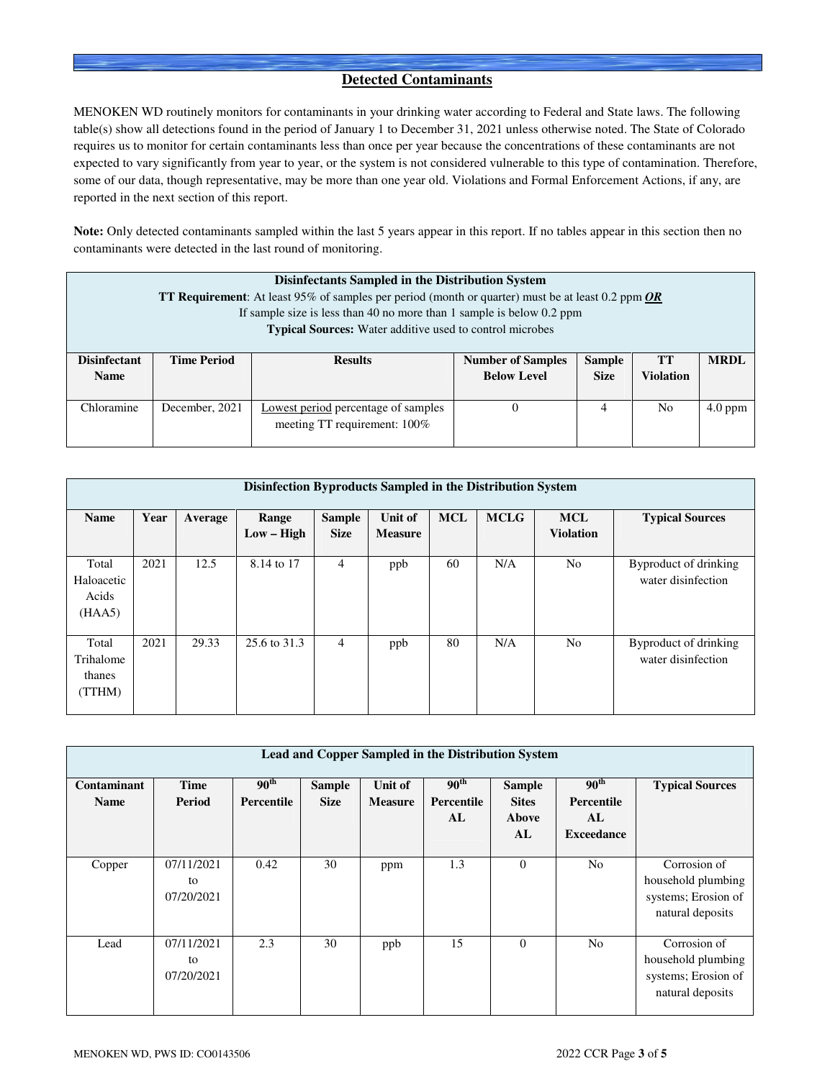### **Detected Contaminants**

MENOKEN WD routinely monitors for contaminants in your drinking water according to Federal and State laws. The following table(s) show all detections found in the period of January 1 to December 31, 2021 unless otherwise noted. The State of Colorado requires us to monitor for certain contaminants less than once per year because the concentrations of these contaminants are not expected to vary significantly from year to year, or the system is not considered vulnerable to this type of contamination. Therefore, some of our data, though representative, may be more than one year old. Violations and Formal Enforcement Actions, if any, are reported in the next section of this report.

**Note:** Only detected contaminants sampled within the last 5 years appear in this report. If no tables appear in this section then no contaminants were detected in the last round of monitoring.

| Disinfectants Sampled in the Distribution System<br><b>TT Requirement:</b> At least 95% of samples per period (month or quarter) must be at least 0.2 ppm $OR$<br>If sample size is less than 40 no more than 1 sample is below 0.2 ppm<br><b>Typical Sources:</b> Water additive used to control microbes |                    |                                                                     |                                                |                              |                               |             |  |  |  |
|------------------------------------------------------------------------------------------------------------------------------------------------------------------------------------------------------------------------------------------------------------------------------------------------------------|--------------------|---------------------------------------------------------------------|------------------------------------------------|------------------------------|-------------------------------|-------------|--|--|--|
| <b>Disinfectant</b><br><b>Name</b>                                                                                                                                                                                                                                                                         | <b>Time Period</b> | <b>Results</b>                                                      | <b>Number of Samples</b><br><b>Below Level</b> | <b>Sample</b><br><b>Size</b> | <b>TT</b><br><b>Violation</b> | <b>MRDL</b> |  |  |  |
|                                                                                                                                                                                                                                                                                                            |                    |                                                                     |                                                |                              |                               |             |  |  |  |
| Chloramine                                                                                                                                                                                                                                                                                                 | December, 2021     | Lowest period percentage of samples<br>meeting TT requirement: 100% |                                                | 4                            | N <sub>0</sub>                | $4.0$ ppm   |  |  |  |

|                                        | Disinfection Byproducts Sampled in the Distribution System |         |                       |                              |                           |            |             |                                |                                             |  |  |
|----------------------------------------|------------------------------------------------------------|---------|-----------------------|------------------------------|---------------------------|------------|-------------|--------------------------------|---------------------------------------------|--|--|
| <b>Name</b>                            | Year                                                       | Average | Range<br>$Low - High$ | <b>Sample</b><br><b>Size</b> | Unit of<br><b>Measure</b> | <b>MCL</b> | <b>MCLG</b> | <b>MCL</b><br><b>Violation</b> | <b>Typical Sources</b>                      |  |  |
| Total<br>Haloacetic<br>Acids<br>(HAA5) | 2021                                                       | 12.5    | 8.14 to 17            | $\overline{4}$               | ppb                       | 60         | N/A         | N <sub>0</sub>                 | Byproduct of drinking<br>water disinfection |  |  |
| Total<br>Trihalome<br>thanes<br>(TTHM) | 2021                                                       | 29.33   | 25.6 to 31.3          | 4                            | ppb                       | 80         | N/A         | N <sub>0</sub>                 | Byproduct of drinking<br>water disinfection |  |  |

| <b>Lead and Copper Sampled in the Distribution System</b> |                                |                                       |                              |                           |                                      |                                              |                                                           |                                                                               |  |  |
|-----------------------------------------------------------|--------------------------------|---------------------------------------|------------------------------|---------------------------|--------------------------------------|----------------------------------------------|-----------------------------------------------------------|-------------------------------------------------------------------------------|--|--|
| Contaminant<br><b>Name</b>                                | Time<br>Period                 | 90 <sup>th</sup><br><b>Percentile</b> | <b>Sample</b><br><b>Size</b> | Unit of<br><b>Measure</b> | $90^{\text{th}}$<br>Percentile<br>AL | <b>Sample</b><br><b>Sites</b><br>Above<br>AL | 90 <sup>th</sup><br>Percentile<br>AL<br><b>Exceedance</b> | <b>Typical Sources</b>                                                        |  |  |
| Copper                                                    | 07/11/2021<br>to<br>07/20/2021 | 0.42                                  | 30                           | ppm                       | 1.3                                  | $\theta$                                     | N <sub>o</sub>                                            | Corrosion of<br>household plumbing<br>systems; Erosion of<br>natural deposits |  |  |
| Lead                                                      | 07/11/2021<br>to<br>07/20/2021 | 2.3                                   | 30                           | ppb                       | 15                                   | $\Omega$                                     | N <sub>o</sub>                                            | Corrosion of<br>household plumbing<br>systems; Erosion of<br>natural deposits |  |  |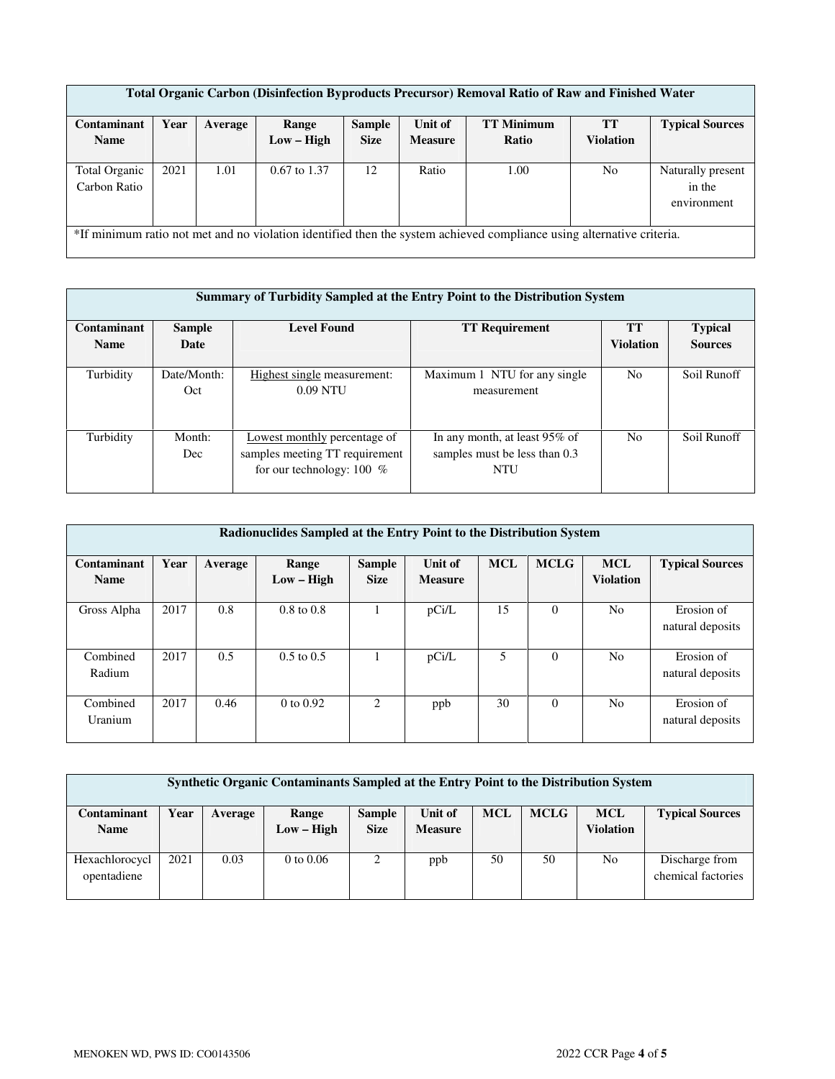| Total Organic Carbon (Disinfection Byproducts Precursor) Removal Ratio of Raw and Finished Water |                                                                                                                       |         |                |               |                |                   |                  |                                            |  |  |  |
|--------------------------------------------------------------------------------------------------|-----------------------------------------------------------------------------------------------------------------------|---------|----------------|---------------|----------------|-------------------|------------------|--------------------------------------------|--|--|--|
| Contaminant                                                                                      | Year                                                                                                                  | Average | Range          | <b>Sample</b> | Unit of        | <b>TT Minimum</b> | <b>TT</b>        | <b>Typical Sources</b>                     |  |  |  |
| <b>Name</b>                                                                                      |                                                                                                                       |         | Low – High     | <b>Size</b>   | <b>Measure</b> | Ratio             | <b>Violation</b> |                                            |  |  |  |
| Total Organic<br>Carbon Ratio                                                                    | 2021                                                                                                                  | 1.01    | $0.67$ to 1.37 | 12            | Ratio          | 1.00              | N <sub>o</sub>   | Naturally present<br>in the<br>environment |  |  |  |
|                                                                                                  | *If minimum ratio not met and no violation identified then the system achieved compliance using alternative criteria. |         |                |               |                |                   |                  |                                            |  |  |  |

|             | Summary of Turbidity Sampled at the Entry Point to the Distribution System |                                |                               |                  |                |  |  |  |  |  |  |
|-------------|----------------------------------------------------------------------------|--------------------------------|-------------------------------|------------------|----------------|--|--|--|--|--|--|
| Contaminant | <b>Sample</b>                                                              | <b>Level Found</b>             | <b>TT Requirement</b>         | <b>TT</b>        | <b>Typical</b> |  |  |  |  |  |  |
| <b>Name</b> | Date                                                                       |                                |                               | <b>Violation</b> | <b>Sources</b> |  |  |  |  |  |  |
|             |                                                                            |                                |                               |                  |                |  |  |  |  |  |  |
| Turbidity   | Date/Month:                                                                | Highest single measurement:    | Maximum 1 NTU for any single  | No               | Soil Runoff    |  |  |  |  |  |  |
|             | Oct                                                                        | $0.09$ NTU                     | measurement                   |                  |                |  |  |  |  |  |  |
|             |                                                                            |                                |                               |                  |                |  |  |  |  |  |  |
| Turbidity   | Month:                                                                     | Lowest monthly percentage of   | In any month, at least 95% of | N <sub>0</sub>   | Soil Runoff    |  |  |  |  |  |  |
|             | Dec                                                                        | samples meeting TT requirement | samples must be less than 0.3 |                  |                |  |  |  |  |  |  |
|             |                                                                            | for our technology: $100\%$    | NTU                           |                  |                |  |  |  |  |  |  |

| Radionuclides Sampled at the Entry Point to the Distribution System |      |         |                       |                              |                           |            |             |                                |                                |  |  |
|---------------------------------------------------------------------|------|---------|-----------------------|------------------------------|---------------------------|------------|-------------|--------------------------------|--------------------------------|--|--|
| Contaminant<br><b>Name</b>                                          | Year | Average | Range<br>$Low - High$ | <b>Sample</b><br><b>Size</b> | Unit of<br><b>Measure</b> | <b>MCL</b> | <b>MCLG</b> | <b>MCL</b><br><b>Violation</b> | <b>Typical Sources</b>         |  |  |
| Gross Alpha                                                         | 2017 | 0.8     | $0.8$ to $0.8$        |                              | pCi/L                     | 15         | $\Omega$    | N <sub>o</sub>                 | Erosion of<br>natural deposits |  |  |
| Combined<br>Radium                                                  | 2017 | 0.5     | $0.5$ to $0.5$        |                              | pCi/L                     | 5          | $\theta$    | N <sub>o</sub>                 | Erosion of<br>natural deposits |  |  |
| Combined<br>Uranium                                                 | 2017 | 0.46    | 0 to 0.92             | 2                            | ppb                       | 30         | $\Omega$    | N <sub>o</sub>                 | Erosion of<br>natural deposits |  |  |

| Synthetic Organic Contaminants Sampled at the Entry Point to the Distribution System |      |         |                       |                              |                           |            |             |                                |                                      |  |
|--------------------------------------------------------------------------------------|------|---------|-----------------------|------------------------------|---------------------------|------------|-------------|--------------------------------|--------------------------------------|--|
| Contaminant<br><b>Name</b>                                                           | Year | Average | Range<br>$Low - High$ | <b>Sample</b><br><b>Size</b> | Unit of<br><b>Measure</b> | <b>MCL</b> | <b>MCLG</b> | <b>MCL</b><br><b>Violation</b> | <b>Typical Sources</b>               |  |
| Hexachlorocycl<br>opentadiene                                                        | 2021 | 0.03    | $0$ to $0.06$         | 2                            | ppb                       | 50         | 50          | No                             | Discharge from<br>chemical factories |  |